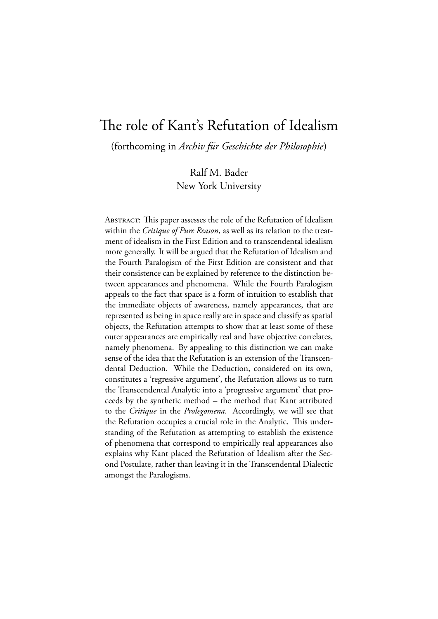# The role of Kant's Refutation of Idealism

(forthcoming in *Archiv für Geschichte der Philosophie*)

Ralf M. Bader New York University

ABSTRACT: This paper assesses the role of the Refutation of Idealism within the *Critique of Pure Reason*, as well as its relation to the treatment of idealism in the First Edition and to transcendental idealism more generally. It will be argued that the Refutation of Idealism and the Fourth Paralogism of the First Edition are consistent and that their consistence can be explained by reference to the distinction between appearances and phenomena. While the Fourth Paralogism appeals to the fact that space is a form of intuition to establish that the immediate objects of awareness, namely appearances, that are represented as being in space really are in space and classify as spatial objects, the Refutation attempts to show that at least some of these outer appearances are empirically real and have objective correlates, namely phenomena. By appealing to this distinction we can make sense of the idea that the Refutation is an extension of the Transcendental Deduction. While the Deduction, considered on its own, constitutes a 'regressive argument', the Refutation allows us to turn the Transcendental Analytic into a 'progressive argument' that proceeds by the synthetic method – the method that Kant attributed to the *Critique* in the *Prolegomena*. Accordingly, we will see that the Refutation occupies a crucial role in the Analytic. This understanding of the Refutation as attempting to establish the existence of phenomena that correspond to empirically real appearances also explains why Kant placed the Refutation of Idealism after the Second Postulate, rather than leaving it in the Transcendental Dialectic amongst the Paralogisms.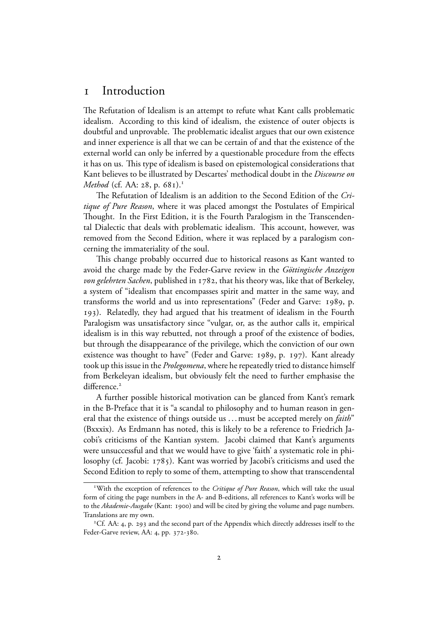#### Introduction

The Refutation of Idealism is an attempt to refute what Kant calls problematic idealism. According to this kind of idealism, the existence of outer objects is doubtful and unprovable. The problematic idealist argues that our own existence and inner experience is all that we can be certain of and that the existence of the external world can only be inferred by a questionable procedure from the effects it has on us. This type of idealism is based on epistemological considerations that Kant believes to be illustrated by Descartes' methodical doubt in the *Discourse on Method* (cf. AA: 28, p. 681).<sup>1</sup>

e Refutation of Idealism is an addition to the Second Edition of the *Critique of Pure Reason*, where it was placed amongst the Postulates of Empirical Thought. In the First Edition, it is the Fourth Paralogism in the Transcendental Dialectic that deals with problematic idealism. This account, however, was removed from the Second Edition, where it was replaced by a paralogism concerning the immateriality of the soul.

This change probably occurred due to historical reasons as Kant wanted to avoid the charge made by the Feder-Garve review in the *Göttingische Anzeigen von gelehrten Sachen*, published in 1782, that his theory was, like that of Berkeley, a system of "idealism that encompasses spirit and matter in the same way, and transforms the world and us into representations" (Feder and Garve: 1989, p. ). Relatedly, they had argued that his treatment of idealism in the Fourth Paralogism was unsatisfactory since "vulgar, or, as the author calls it, empirical idealism is in this way rebutted, not through a proof of the existence of bodies, but through the disappearance of the privilege, which the conviction of our own existence was thought to have" (Feder and Garve: 1989, p. 197). Kant already took up this issue in the *Prolegomena*, where he repeatedly tried to distance himself from Berkeleyan idealism, but obviously felt the need to further emphasise the difference.<sup>2</sup>

A further possible historical motivation can be glanced from Kant's remark in the B-Preface that it is "a scandal to philosophy and to human reason in general that the existence of things outside us ... must be accepted merely on *faith*" (Bxxxix). As Erdmann has noted, this is likely to be a reference to Friedrich Jacobi's criticisms of the Kantian system. Jacobi claimed that Kant's arguments were unsuccessful and that we would have to give 'faith' a systematic role in philosophy (cf. Jacobi:  $1785$ ). Kant was worried by Jacobi's criticisms and used the Second Edition to reply to some of them, attempting to show that transcendental

With the exception of references to the *Critique of Pure Reason*, which will take the usual form of citing the page numbers in the A- and B-editions, all references to Kant's works will be to the *Akademie-Ausgabe* (Kant: 1900) and will be cited by giving the volume and page numbers. Translations are my own.

<sup>&</sup>lt;sup>2</sup>Cf. AA: 4, p. 293 and the second part of the Appendix which directly addresses itself to the Feder-Garve review, AA: 4, pp. 372-380.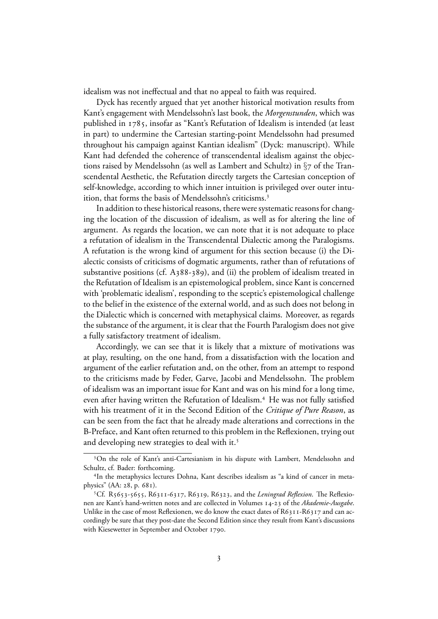idealism was not ineffectual and that no appeal to faith was required.

Dyck has recently argued that yet another historical motivation results from Kant's engagement with Mendelssohn's last book, the *Morgenstunden*, which was published in 1785, insofar as "Kant's Refutation of Idealism is intended (at least in part) to undermine the Cartesian starting-point Mendelssohn had presumed throughout his campaign against Kantian idealism" (Dyck: manuscript). While Kant had defended the coherence of transcendental idealism against the objections raised by Mendelssohn (as well as Lambert and Schultz) in §7 of the Transcendental Aesthetic, the Refutation directly targets the Cartesian conception of self-knowledge, according to which inner intuition is privileged over outer intuition, that forms the basis of Mendelssohn's criticisms.

In addition to these historical reasons, there were systematic reasons for changing the location of the discussion of idealism, as well as for altering the line of argument. As regards the location, we can note that it is not adequate to place a refutation of idealism in the Transcendental Dialectic among the Paralogisms. A refutation is the wrong kind of argument for this section because (i) the Dialectic consists of criticisms of dogmatic arguments, rather than of refutations of substantive positions (cf.  $A_388-389$ ), and (ii) the problem of idealism treated in the Refutation of Idealism is an epistemological problem, since Kant is concerned with 'problematic idealism', responding to the sceptic's epistemological challenge to the belief in the existence of the external world, and as such does not belong in the Dialectic which is concerned with metaphysical claims. Moreover, as regards the substance of the argument, it is clear that the Fourth Paralogism does not give a fully satisfactory treatment of idealism.

Accordingly, we can see that it is likely that a mixture of motivations was at play, resulting, on the one hand, from a dissatisfaction with the location and argument of the earlier refutation and, on the other, from an attempt to respond to the criticisms made by Feder, Garve, Jacobi and Mendelssohn. The problem of idealism was an important issue for Kant and was on his mind for a long time, even after having written the Refutation of Idealism.<sup>4</sup> He was not fully satisfied with his treatment of it in the Second Edition of the *Critique of Pure Reason*, as can be seen from the fact that he already made alterations and corrections in the B-Preface, and Kant often returned to this problem in the Reflexionen, trying out and developing new strategies to deal with it.

<sup>&</sup>lt;sup>3</sup>On the role of Kant's anti-Cartesianism in his dispute with Lambert, Mendelssohn and Schultz, cf. Bader: forthcoming.

<sup>&</sup>lt;sup>4</sup>In the metaphysics lectures Dohna, Kant describes idealism as "a kind of cancer in metaphysics" (AA: 28, p. 681).

<sup>&</sup>lt;sup>5</sup>Cf. R5653-5655, R6311-6317, R6319, R6323, and the *Leningrad Reflexion*. The Reflexionen are Kant's hand-written notes and are collected in Volumes 14-23 of the *Akademie-Ausgabe*. Unlike in the case of most Reflexionen, we do know the exact dates of  $R6311-R6317$  and can accordingly be sure that they post-date the Second Edition since they result from Kant's discussions with Kiesewetter in September and October 1790.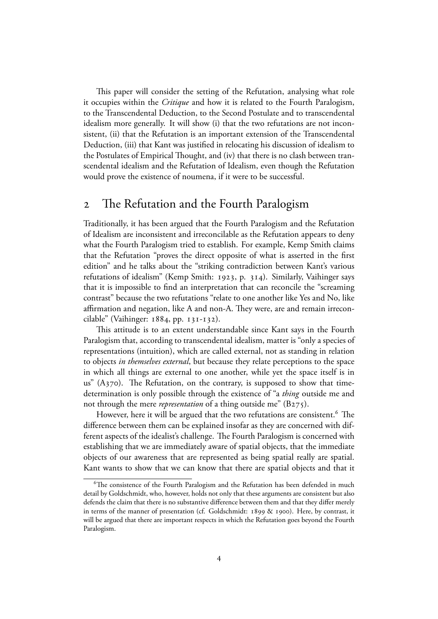This paper will consider the setting of the Refutation, analysing what role it occupies within the *Critique* and how it is related to the Fourth Paralogism, to the Transcendental Deduction, to the Second Postulate and to transcendental idealism more generally. It will show (i) that the two refutations are not inconsistent, (ii) that the Refutation is an important extension of the Transcendental Deduction, (iii) that Kant was justified in relocating his discussion of idealism to the Postulates of Empirical Thought, and (iv) that there is no clash between transcendental idealism and the Refutation of Idealism, even though the Refutation would prove the existence of noumena, if it were to be successful.

### 2 The Refutation and the Fourth Paralogism

Traditionally, it has been argued that the Fourth Paralogism and the Refutation of Idealism are inconsistent and irreconcilable as the Refutation appears to deny what the Fourth Paralogism tried to establish. For example, Kemp Smith claims that the Refutation "proves the direct opposite of what is asserted in the first edition" and he talks about the "striking contradiction between Kant's various refutations of idealism" (Kemp Smith: 1923, p. 314). Similarly, Vaihinger says that it is impossible to find an interpretation that can reconcile the "screaming contrast" because the two refutations "relate to one another like Yes and No, like affirmation and negation, like A and non-A. They were, are and remain irreconcilable" (Vaihinger:  $1884$ , pp.  $131-132$ ).

This attitude is to an extent understandable since Kant says in the Fourth Paralogism that, according to transcendental idealism, matter is "only a species of representations (intuition), which are called external, not as standing in relation to objects *in themselves external*, but because they relate perceptions to the space in which all things are external to one another, while yet the space itself is in us"  $(A_{370})$ . The Refutation, on the contrary, is supposed to show that timedetermination is only possible through the existence of "a *thing* outside me and not through the mere *representation* of a thing outside me" (B275).

However, here it will be argued that the two refutations are consistent.<sup>6</sup> The difference between them can be explained insofar as they are concerned with different aspects of the idealist's challenge. The Fourth Paralogism is concerned with establishing that we are immediately aware of spatial objects, that the immediate objects of our awareness that are represented as being spatial really are spatial. Kant wants to show that we can know that there are spatial objects and that it

 ${}^6$ The consistence of the Fourth Paralogism and the Refutation has been defended in much detail by Goldschmidt, who, however, holds not only that these arguments are consistent but also defends the claim that there is no substantive difference between them and that they differ merely in terms of the manner of presentation (cf. Goldschmidt:  $1899 \& 1900$ ). Here, by contrast, it will be argued that there are important respects in which the Refutation goes beyond the Fourth Paralogism.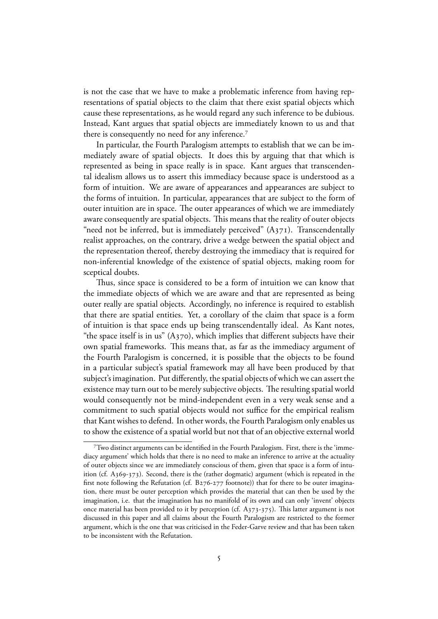is not the case that we have to make a problematic inference from having representations of spatial objects to the claim that there exist spatial objects which cause these representations, as he would regard any such inference to be dubious. Instead, Kant argues that spatial objects are immediately known to us and that there is consequently no need for any inference.

In particular, the Fourth Paralogism attempts to establish that we can be immediately aware of spatial objects. It does this by arguing that that which is represented as being in space really is in space. Kant argues that transcendental idealism allows us to assert this immediacy because space is understood as a form of intuition. We are aware of appearances and appearances are subject to the forms of intuition. In particular, appearances that are subject to the form of outer intuition are in space. The outer appearances of which we are immediately aware consequently are spatial objects. This means that the reality of outer objects "need not be inferred, but is immediately perceived"  $(A_{371})$ . Transcendentally realist approaches, on the contrary, drive a wedge between the spatial object and the representation thereof, thereby destroying the immediacy that is required for non-inferential knowledge of the existence of spatial objects, making room for sceptical doubts.

Thus, since space is considered to be a form of intuition we can know that the immediate objects of which we are aware and that are represented as being outer really are spatial objects. Accordingly, no inference is required to establish that there are spatial entities. Yet, a corollary of the claim that space is a form of intuition is that space ends up being transcendentally ideal. As Kant notes, "the space itself is in us"  $(A_{370})$ , which implies that different subjects have their own spatial frameworks. This means that, as far as the immediacy argument of the Fourth Paralogism is concerned, it is possible that the objects to be found in a particular subject's spatial framework may all have been produced by that subject's imagination. Put differently, the spatial objects of which we can assert the existence may turn out to be merely subjective objects. The resulting spatial world would consequently not be mind-independent even in a very weak sense and a commitment to such spatial objects would not suffice for the empirical realism that Kant wishes to defend. In other words, the Fourth Paralogism only enables us to show the existence of a spatial world but not that of an objective external world

Two distinct arguments can be identified in the Fourth Paralogism. First, there is the 'immediacy argument' which holds that there is no need to make an inference to arrive at the actuality of outer objects since we are immediately conscious of them, given that space is a form of intuition (cf.  $A_369-373$ ). Second, there is the (rather dogmatic) argument (which is repeated in the first note following the Refutation (cf.  $B276-277$  footnote)) that for there to be outer imagination, there must be outer perception which provides the material that can then be used by the imagination, i.e. that the imagination has no manifold of its own and can only 'invent' objects once material has been provided to it by perception (cf.  $A_{373-375}$ ). This latter argument is not discussed in this paper and all claims about the Fourth Paralogism are restricted to the former argument, which is the one that was criticised in the Feder-Garve review and that has been taken to be inconsistent with the Refutation.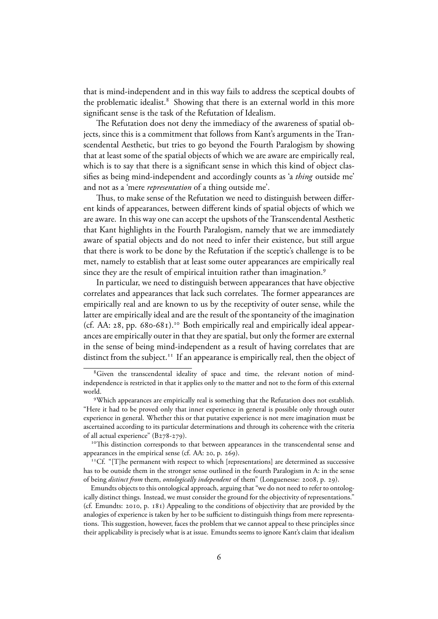that is mind-independent and in this way fails to address the sceptical doubts of the problematic idealist.<sup>8</sup> Showing that there is an external world in this more significant sense is the task of the Refutation of Idealism.

The Refutation does not deny the immediacy of the awareness of spatial objects, since this is a commitment that follows from Kant's arguments in the Transcendental Aesthetic, but tries to go beyond the Fourth Paralogism by showing that at least some of the spatial objects of which we are aware are empirically real, which is to say that there is a significant sense in which this kind of object classifies as being mind-independent and accordingly counts as 'a *thing* outside me' and not as a 'mere *representation* of a thing outside me'.

Thus, to make sense of the Refutation we need to distinguish between different kinds of appearances, between different kinds of spatial objects of which we are aware. In this way one can accept the upshots of the Transcendental Aesthetic that Kant highlights in the Fourth Paralogism, namely that we are immediately aware of spatial objects and do not need to infer their existence, but still argue that there is work to be done by the Refutation if the sceptic's challenge is to be met, namely to establish that at least some outer appearances are empirically real since they are the result of empirical intuition rather than imagination.<sup>9</sup>

In particular, we need to distinguish between appearances that have objective correlates and appearances that lack such correlates. The former appearances are empirically real and are known to us by the receptivity of outer sense, while the latter are empirically ideal and are the result of the spontaneity of the imagination (cf. AA:  $28$ , pp.  $68$ 0- $68$ 1).<sup>10</sup> Both empirically real and empirically ideal appearances are empirically outer in that they are spatial, but only the former are external in the sense of being mind-independent as a result of having correlates that are distinct from the subject.<sup>11</sup> If an appearance is empirically real, then the object of

<sup>&</sup>lt;sup>8</sup>Given the transcendental ideality of space and time, the relevant notion of mindindependence is restricted in that it applies only to the matter and not to the form of this external world.

Which appearances are empirically real is something that the Refutation does not establish. "Here it had to be proved only that inner experience in general is possible only through outer experience in general. Whether this or that putative experience is not mere imagination must be ascertained according to its particular determinations and through its coherence with the criteria of all actual experience"  $(B278-279)$ .

<sup>&</sup>lt;sup>10</sup>This distinction corresponds to that between appearances in the transcendental sense and appearances in the empirical sense (cf. AA:  $20$ , p.  $269$ ).

 ${}^{11}$ Cf. "[T]he permanent with respect to which [representations] are determined as successive has to be outside them in the stronger sense outlined in the fourth Paralogism in A: in the sense of being *distinct from them, ontologically independent* of them" (Longuenesse: 2008, p. 29).

Emundts objects to this ontological approach, arguing that "we do not need to refer to ontologically distinct things. Instead, we must consider the ground for the objectivity of representations." (cf. Emundts: 2010, p. 181) Appealing to the conditions of objectivity that are provided by the analogies of experience is taken by her to be sufficient to distinguish things from mere representations. This suggestion, however, faces the problem that we cannot appeal to these principles since their applicability is precisely what is at issue. Emundts seems to ignore Kant's claim that idealism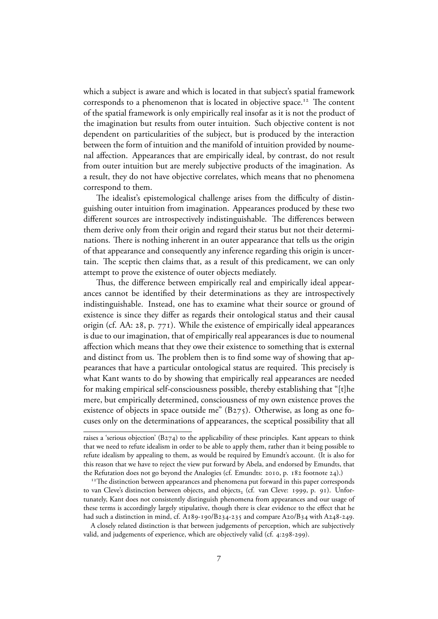which a subject is aware and which is located in that subject's spatial framework corresponds to a phenomenon that is located in objective space.<sup>12</sup> The content of the spatial framework is only empirically real insofar as it is not the product of the imagination but results from outer intuition. Such objective content is not dependent on particularities of the subject, but is produced by the interaction between the form of intuition and the manifold of intuition provided by noumenal affection. Appearances that are empirically ideal, by contrast, do not result from outer intuition but are merely subjective products of the imagination. As a result, they do not have objective correlates, which means that no phenomena correspond to them.

The idealist's epistemological challenge arises from the difficulty of distinguishing outer intuition from imagination. Appearances produced by these two different sources are introspectively indistinguishable. The differences between them derive only from their origin and regard their status but not their determinations. There is nothing inherent in an outer appearance that tells us the origin of that appearance and consequently any inference regarding this origin is uncertain. The sceptic then claims that, as a result of this predicament, we can only attempt to prove the existence of outer objects mediately.

Thus, the difference between empirically real and empirically ideal appearances cannot be identified by their determinations as they are introspectively indistinguishable. Instead, one has to examine what their source or ground of existence is since they differ as regards their ontological status and their causal origin (cf. AA:  $28$ , p.  $771$ ). While the existence of empirically ideal appearances is due to our imagination, that of empirically real appearances is due to noumenal affection which means that they owe their existence to something that is external and distinct from us. The problem then is to find some way of showing that appearances that have a particular ontological status are required. This precisely is what Kant wants to do by showing that empirically real appearances are needed for making empirical self-consciousness possible, thereby establishing that "[t]he mere, but empirically determined, consciousness of my own existence proves the existence of objects in space outside me"  $(B275)$ . Otherwise, as long as one focuses only on the determinations of appearances, the sceptical possibility that all

raises a 'serious objection' (B274) to the applicability of these principles. Kant appears to think that we need to refute idealism in order to be able to apply them, rather than it being possible to refute idealism by appealing to them, as would be required by Emundt's account. (It is also for this reason that we have to reject the view put forward by Abela, and endorsed by Emundts, that the Refutation does not go beyond the Analogies (cf. Emundts: 2010, p.  $182$  footnote 24).)

<sup>&</sup>lt;sup>12</sup>The distinction between appearances and phenomena put forward in this paper corresponds to van Cleve's distinction between objects, and objects, (cf. van Cleve: 1999, p. 91). Unfortunately, Kant does not consistently distinguish phenomena from appearances and our usage of these terms is accordingly largely stipulative, though there is clear evidence to the effect that he had such a distinction in mind, cf.  $A_189 - 190/B_234 - 235$  and compare A20/B34 with A248-249.

A closely related distinction is that between judgements of perception, which are subjectively valid, and judgements of experience, which are objectively valid (cf. 4:298-299).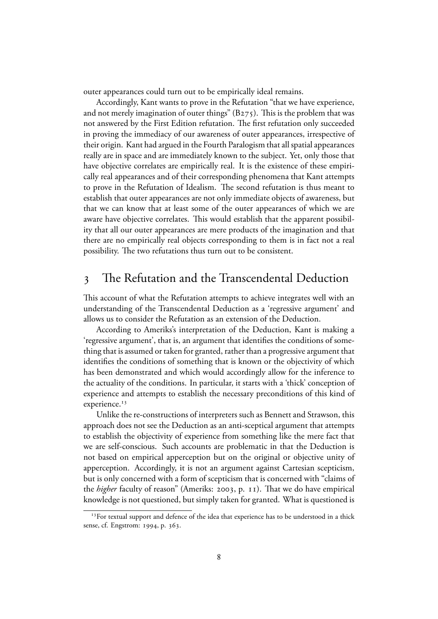outer appearances could turn out to be empirically ideal remains.

Accordingly, Kant wants to prove in the Refutation "that we have experience, and not merely imagination of outer things"  $(B275)$ . This is the problem that was not answered by the First Edition refutation. The first refutation only succeeded in proving the immediacy of our awareness of outer appearances, irrespective of their origin. Kant had argued in the Fourth Paralogism that all spatial appearances really are in space and are immediately known to the subject. Yet, only those that have objective correlates are empirically real. It is the existence of these empirically real appearances and of their corresponding phenomena that Kant attempts to prove in the Refutation of Idealism. The second refutation is thus meant to establish that outer appearances are not only immediate objects of awareness, but that we can know that at least some of the outer appearances of which we are aware have objective correlates. This would establish that the apparent possibility that all our outer appearances are mere products of the imagination and that there are no empirically real objects corresponding to them is in fact not a real possibility. The two refutations thus turn out to be consistent.

#### 3 The Refutation and the Transcendental Deduction

This account of what the Refutation attempts to achieve integrates well with an understanding of the Transcendental Deduction as a 'regressive argument' and allows us to consider the Refutation as an extension of the Deduction.

According to Ameriks's interpretation of the Deduction, Kant is making a 'regressive argument', that is, an argument that identifies the conditions of something that is assumed or taken for granted, rather than a progressive argument that identifies the conditions of something that is known or the objectivity of which has been demonstrated and which would accordingly allow for the inference to the actuality of the conditions. In particular, it starts with a 'thick' conception of experience and attempts to establish the necessary preconditions of this kind of experience.<sup>13</sup>

Unlike the re-constructions of interpreters such as Bennett and Strawson, this approach does not see the Deduction as an anti-sceptical argument that attempts to establish the objectivity of experience from something like the mere fact that we are self-conscious. Such accounts are problematic in that the Deduction is not based on empirical apperception but on the original or objective unity of apperception. Accordingly, it is not an argument against Cartesian scepticism, but is only concerned with a form of scepticism that is concerned with "claims of the *higher* faculty of reason" (Ameriks: 2003, p. 11). That we do have empirical knowledge is not questioned, but simply taken for granted. What is questioned is

<sup>&</sup>lt;sup>13</sup> For textual support and defence of the idea that experience has to be understood in a thick sense, cf. Engstrom: 1994, p. 363.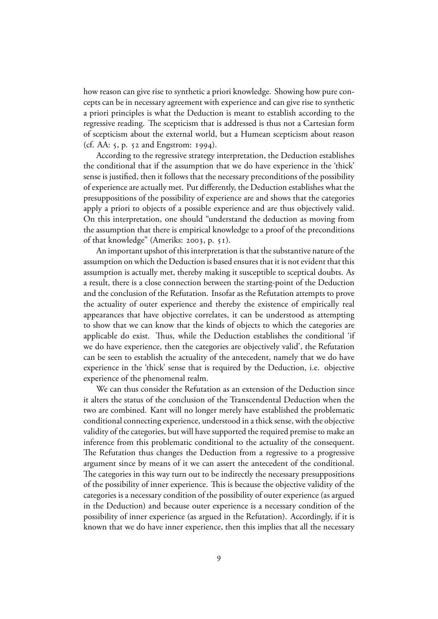how reason can give rise to synthetic a priori knowledge. Showing how pure concepts can be in necessary agreement with experience and can give rise to synthetic a priori principles is what the Deduction is meant to establish according to the regressive reading. The scepticism that is addressed is thus not a Cartesian form of scepticism about the external world, but a Humean scepticism about reason (cf. AA:  $5$ , p.  $52$  and Engstrom: 1994).

According to the regressive strategy interpretation, the Deduction establishes the conditional that if the assumption that we do have experience in the 'thick' sense is justified, then it follows that the necessary preconditions of the possibility of experience are actually met. Put differently, the Deduction establishes what the presuppositions of the possibility of experience are and shows that the categories apply a priori to objects of a possible experience and are thus objectively valid. On this interpretation, one should "understand the deduction as moving from the assumption that there is empirical knowledge to a proof of the preconditions of that knowledge" (Ameriks: 2003, p.  $51$ ).

An important upshot of this interpretation is that the substantive nature of the assumption on which the Deduction is based ensures that it is not evident that this assumption is actually met, thereby making it susceptible to sceptical doubts. As a result, there is a close connection between the starting-point of the Deduction and the conclusion of the Refutation. Insofar as the Refutation attempts to prove the actuality of outer experience and thereby the existence of empirically real appearances that have objective correlates, it can be understood as attempting to show that we can know that the kinds of objects to which the categories are applicable do exist. Thus, while the Deduction establishes the conditional 'if we do have experience, then the categories are objectively valid', the Refutation can be seen to establish the actuality of the antecedent, namely that we do have experience in the 'thick' sense that is required by the Deduction, i.e. objective experience of the phenomenal realm.

We can thus consider the Refutation as an extension of the Deduction since it alters the status of the conclusion of the Transcendental Deduction when the two are combined. Kant will no longer merely have established the problematic conditional connecting experience, understood in a thick sense, with the objective validity of the categories, but will have supported the required premise to make an inference from this problematic conditional to the actuality of the consequent. The Refutation thus changes the Deduction from a regressive to a progressive argument since by means of it we can assert the antecedent of the conditional. The categories in this way turn out to be indirectly the necessary presuppositions of the possibility of inner experience. This is because the objective validity of the categories is a necessary condition of the possibility of outer experience (as argued in the Deduction) and because outer experience is a necessary condition of the possibility of inner experience (as argued in the Refutation). Accordingly, if it is known that we do have inner experience, then this implies that all the necessary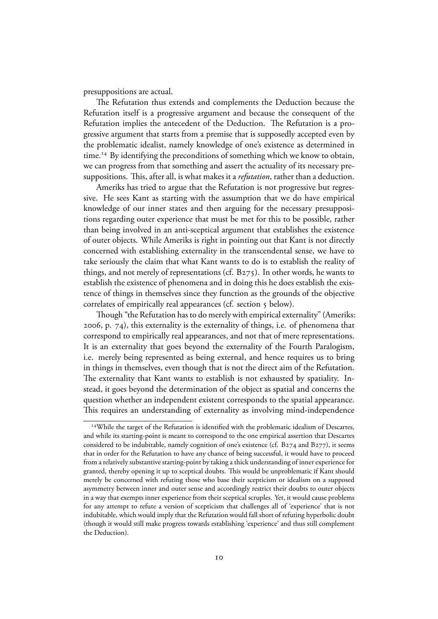presuppositions are actual.

The Refutation thus extends and complements the Deduction because the Refutation itself is a progressive argument and because the consequent of the Refutation implies the antecedent of the Deduction. The Refutation is a progressive argument that starts from a premise that is supposedly accepted even by the problematic idealist, namely knowledge of one's existence as determined in time.<sup>14</sup> By identifying the preconditions of something which we know to obtain, we can progress from that something and assert the actuality of its necessary presuppositions. This, after all, is what makes it a *refutation*, rather than a deduction.

Ameriks has tried to argue that the Refutation is not progressive but regressive. He sees Kant as starting with the assumption that we do have empirical knowledge of our inner states and then arguing for the necessary presuppositions regarding outer experience that must be met for this to be possible, rather than being involved in an anti-sceptical argument that establishes the existence of outer objects. While Ameriks is right in pointing out that Kant is not directly concerned with establishing externality in the transcendental sense, we have to take seriously the claim that what Kant wants to do is to establish the reality of things, and not merely of representations (cf.  $B275$ ). In other words, he wants to establish the existence of phenomena and in doing this he does establish the existence of things in themselves since they function as the grounds of the objective correlates of empirically real appearances (cf. section 5 below).

Though "the Refutation has to do merely with empirical externality" (Ameriks: 2006, p.  $74$ ), this externality is the externality of things, i.e. of phenomena that correspond to empirically real appearances, and not that of mere representations. It is an externality that goes beyond the externality of the Fourth Paralogism, i.e. merely being represented as being external, and hence requires us to bring in things in themselves, even though that is not the direct aim of the Refutation. The externality that Kant wants to establish is not exhausted by spatiality. Instead, it goes beyond the determination of the object as spatial and concerns the question whether an independent existent corresponds to the spatial appearance. This requires an understanding of externality as involving mind-independence

While the target of the Refutation is identified with the problematic idealism of Descartes, and while its starting-point is meant to correspond to the one empirical assertion that Descartes considered to be indubitable, namely cognition of one's existence (cf.  $Bz74$  and  $Bz77$ ), it seems that in order for the Refutation to have any chance of being successful, it would have to proceed from a relatively substantive starting-point by taking a thick understanding of inner experience for granted, thereby opening it up to sceptical doubts. This would be unproblematic if Kant should merely be concerned with refuting those who base their scepticism or idealism on a supposed asymmetry between inner and outer sense and accordingly restrict their doubts to outer objects in a way that exempts inner experience from their sceptical scruples. Yet, it would cause problems for any attempt to refute a version of scepticism that challenges all of 'experience' that is not indubitable, which would imply that the Refutation would fall short of refuting hyperbolic doubt (though it would still make progress towards establishing 'experience' and thus still complement the Deduction).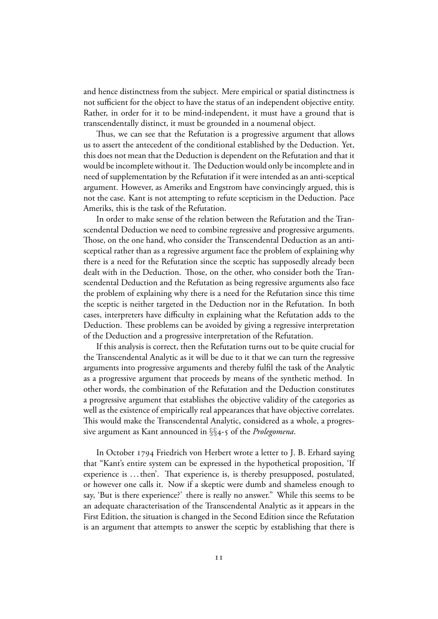and hence distinctness from the subject. Mere empirical or spatial distinctness is not sufficient for the object to have the status of an independent objective entity. Rather, in order for it to be mind-independent, it must have a ground that is transcendentally distinct, it must be grounded in a noumenal object.

Thus, we can see that the Refutation is a progressive argument that allows us to assert the antecedent of the conditional established by the Deduction. Yet, this does not mean that the Deduction is dependent on the Refutation and that it would be incomplete without it. The Deduction would only be incomplete and in need of supplementation by the Refutation if it were intended as an anti-sceptical argument. However, as Ameriks and Engstrom have convincingly argued, this is not the case. Kant is not attempting to refute scepticism in the Deduction. Pace Ameriks, this is the task of the Refutation.

In order to make sense of the relation between the Refutation and the Transcendental Deduction we need to combine regressive and progressive arguments. Those, on the one hand, who consider the Transcendental Deduction as an antisceptical rather than as a regressive argument face the problem of explaining why there is a need for the Refutation since the sceptic has supposedly already been dealt with in the Deduction. Those, on the other, who consider both the Transcendental Deduction and the Refutation as being regressive arguments also face the problem of explaining why there is a need for the Refutation since this time the sceptic is neither targeted in the Deduction nor in the Refutation. In both cases, interpreters have difficulty in explaining what the Refutation adds to the Deduction. These problems can be avoided by giving a regressive interpretation of the Deduction and a progressive interpretation of the Refutation.

If this analysis is correct, then the Refutation turns out to be quite crucial for the Transcendental Analytic as it will be due to it that we can turn the regressive arguments into progressive arguments and thereby fulfil the task of the Analytic as a progressive argument that proceeds by means of the synthetic method. In other words, the combination of the Refutation and the Deduction constitutes a progressive argument that establishes the objective validity of the categories as well as the existence of empirically real appearances that have objective correlates. This would make the Transcendental Analytic, considered as a whole, a progressive argument as Kant announced in *§§4-5* of the *Prolegomena*.

In October 1794 Friedrich von Herbert wrote a letter to J. B. Erhard saying that "Kant's entire system can be expressed in the hypothetical proposition, 'If experience is ... then'. That experience is, is thereby presupposed, postulated, or however one calls it. Now if a skeptic were dumb and shameless enough to say, 'But is there experience?' there is really no answer." While this seems to be an adequate characterisation of the Transcendental Analytic as it appears in the First Edition, the situation is changed in the Second Edition since the Refutation is an argument that attempts to answer the sceptic by establishing that there is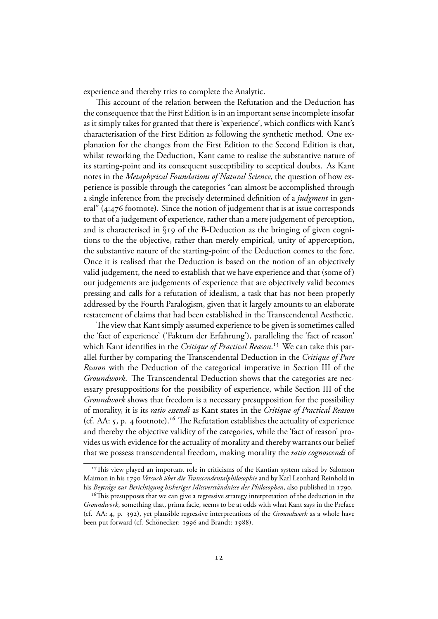experience and thereby tries to complete the Analytic.

This account of the relation between the Refutation and the Deduction has the consequence that the First Edition is in an important sense incomplete insofar as it simply takes for granted that there is 'experience', which conflicts with Kant's characterisation of the First Edition as following the synthetic method. One explanation for the changes from the First Edition to the Second Edition is that, whilst reworking the Deduction, Kant came to realise the substantive nature of its starting-point and its consequent susceptibility to sceptical doubts. As Kant notes in the *Metaphysical Foundations of Natural Science*, the question of how experience is possible through the categories "can almost be accomplished through a single inference from the precisely determined definition of a *judgment* in general"  $(4.476$  footnote). Since the notion of judgement that is at issue corresponds to that of a judgement of experience, rather than a mere judgement of perception, and is characterised in §19 of the B-Deduction as the bringing of given cognitions to the the objective, rather than merely empirical, unity of apperception, the substantive nature of the starting-point of the Deduction comes to the fore. Once it is realised that the Deduction is based on the notion of an objectively valid judgement, the need to establish that we have experience and that (some of ) our judgements are judgements of experience that are objectively valid becomes pressing and calls for a refutation of idealism, a task that has not been properly addressed by the Fourth Paralogism, given that it largely amounts to an elaborate restatement of claims that had been established in the Transcendental Aesthetic.

The view that Kant simply assumed experience to be given is sometimes called the 'fact of experience' ('Faktum der Erfahrung'), paralleling the 'fact of reason' which Kant identifies in the *Critique of Practical Reason*. We can take this parallel further by comparing the Transcendental Deduction in the *Critique of Pure Reason* with the Deduction of the categorical imperative in Section III of the *Groundwork*. The Transcendental Deduction shows that the categories are necessary presuppositions for the possibility of experience, while Section III of the *Groundwork* shows that freedom is a necessary presupposition for the possibility of morality, it is its *ratio essendi* as Kant states in the *Critique of Practical Reason* (cf. AA: 5, p. 4 footnote).<sup>16</sup> The Refutation establishes the actuality of experience and thereby the objective validity of the categories, while the 'fact of reason' provides us with evidence for the actuality of morality and thereby warrants our belief that we possess transcendental freedom, making morality the *ratio cognoscendi* of

<sup>&</sup>lt;sup>15</sup>This view played an important role in criticisms of the Kantian system raised by Salomon Maimon in his 1790 Versuch über die Transcendentalphilosophie and by Karl Leonhard Reinhold in his Beyträge zur Berichtigung bisheriger Missverständnisse der Philosophen, also published in 1790.

<sup>&</sup>lt;sup>16</sup>This presupposes that we can give a regressive strategy interpretation of the deduction in the *Groundwork*, something that, prima facie, seems to be at odds with what Kant says in the Preface (cf. AA: 4, p. 392), yet plausible regressive interpretations of the *Groundwork* as a whole have been put forward (cf. Schönecker: 1996 and Brandt: 1988).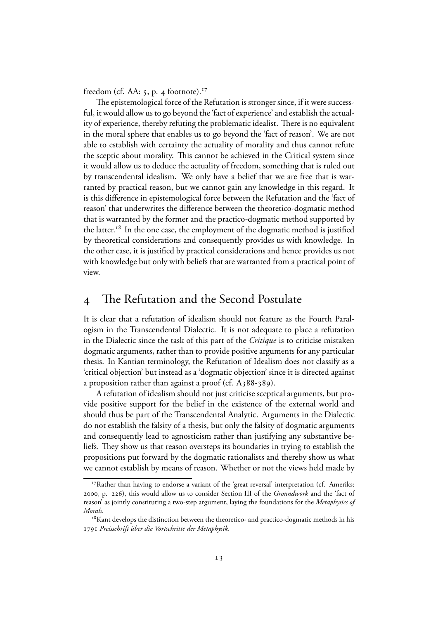freedom (cf. AA:  $5$ , p. 4 footnote).<sup>17</sup>

The epistemological force of the Refutation is stronger since, if it were successful, it would allow us to go beyond the 'fact of experience' and establish the actuality of experience, thereby refuting the problematic idealist. There is no equivalent in the moral sphere that enables us to go beyond the 'fact of reason'. We are not able to establish with certainty the actuality of morality and thus cannot refute the sceptic about morality. This cannot be achieved in the Critical system since it would allow us to deduce the actuality of freedom, something that is ruled out by transcendental idealism. We only have a belief that we are free that is warranted by practical reason, but we cannot gain any knowledge in this regard. It is this difference in epistemological force between the Refutation and the 'fact of reason' that underwrites the difference between the theoretico-dogmatic method that is warranted by the former and the practico-dogmatic method supported by the latter.<sup>18</sup> In the one case, the employment of the dogmatic method is justified by theoretical considerations and consequently provides us with knowledge. In the other case, it is justified by practical considerations and hence provides us not with knowledge but only with beliefs that are warranted from a practical point of view.

## 4 The Refutation and the Second Postulate

It is clear that a refutation of idealism should not feature as the Fourth Paralogism in the Transcendental Dialectic. It is not adequate to place a refutation in the Dialectic since the task of this part of the *Critique* is to criticise mistaken dogmatic arguments, rather than to provide positive arguments for any particular thesis. In Kantian terminology, the Refutation of Idealism does not classify as a 'critical objection' but instead as a 'dogmatic objection' since it is directed against a proposition rather than against a proof (cf.  $A_388-389$ ).

A refutation of idealism should not just criticise sceptical arguments, but provide positive support for the belief in the existence of the external world and should thus be part of the Transcendental Analytic. Arguments in the Dialectic do not establish the falsity of a thesis, but only the falsity of dogmatic arguments and consequently lead to agnosticism rather than justifying any substantive beliefs. They show us that reason oversteps its boundaries in trying to establish the propositions put forward by the dogmatic rationalists and thereby show us what we cannot establish by means of reason. Whether or not the views held made by

<sup>&</sup>lt;sup>17</sup>Rather than having to endorse a variant of the 'great reversal' interpretation (cf. Ameriks: 2000, p. 226), this would allow us to consider Section III of the *Groundwork* and the 'fact of reason' as jointly constituting a two-step argument, laying the foundations for the *Metaphysics of Morals*.

<sup>&</sup>lt;sup>18</sup> Kant develops the distinction between the theoretico- and practico-dogmatic methods in his *Preisschrift uber die Vortschritte der Metaphysik* ¨ .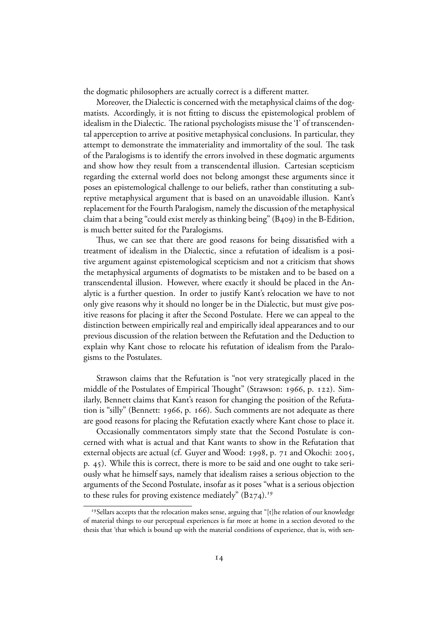the dogmatic philosophers are actually correct is a different matter.

Moreover, the Dialectic is concerned with the metaphysical claims of the dogmatists. Accordingly, it is not fitting to discuss the epistemological problem of idealism in the Dialectic. The rational psychologists misuse the 'I' of transcendental apperception to arrive at positive metaphysical conclusions. In particular, they attempt to demonstrate the immateriality and immortality of the soul. The task of the Paralogisms is to identify the errors involved in these dogmatic arguments and show how they result from a transcendental illusion. Cartesian scepticism regarding the external world does not belong amongst these arguments since it poses an epistemological challenge to our beliefs, rather than constituting a subreptive metaphysical argument that is based on an unavoidable illusion. Kant's replacement for the Fourth Paralogism, namely the discussion of the metaphysical claim that a being "could exist merely as thinking being" ( $B$ 409) in the B-Edition, is much better suited for the Paralogisms.

Thus, we can see that there are good reasons for being dissatisfied with a treatment of idealism in the Dialectic, since a refutation of idealism is a positive argument against epistemological scepticism and not a criticism that shows the metaphysical arguments of dogmatists to be mistaken and to be based on a transcendental illusion. However, where exactly it should be placed in the Analytic is a further question. In order to justify Kant's relocation we have to not only give reasons why it should no longer be in the Dialectic, but must give positive reasons for placing it after the Second Postulate. Here we can appeal to the distinction between empirically real and empirically ideal appearances and to our previous discussion of the relation between the Refutation and the Deduction to explain why Kant chose to relocate his refutation of idealism from the Paralogisms to the Postulates.

Strawson claims that the Refutation is "not very strategically placed in the middle of the Postulates of Empirical Thought" (Strawson: 1966, p. 122). Similarly, Bennett claims that Kant's reason for changing the position of the Refutation is "silly" (Bennett: 1966, p. 166). Such comments are not adequate as there are good reasons for placing the Refutation exactly where Kant chose to place it.

Occasionally commentators simply state that the Second Postulate is concerned with what is actual and that Kant wants to show in the Refutation that external objects are actual (cf. Guyer and Wood: 1998, p. 71 and Okochi: 2005, p. 45). While this is correct, there is more to be said and one ought to take seriously what he himself says, namely that idealism raises a serious objection to the arguments of the Second Postulate, insofar as it poses "what is a serious objection to these rules for proving existence mediately"  $(B274)$ .<sup>19</sup>

 $19$  Sellars accepts that the relocation makes sense, arguing that "[t]he relation of our knowledge of material things to our perceptual experiences is far more at home in a section devoted to the thesis that 'that which is bound up with the material conditions of experience, that is, with sen-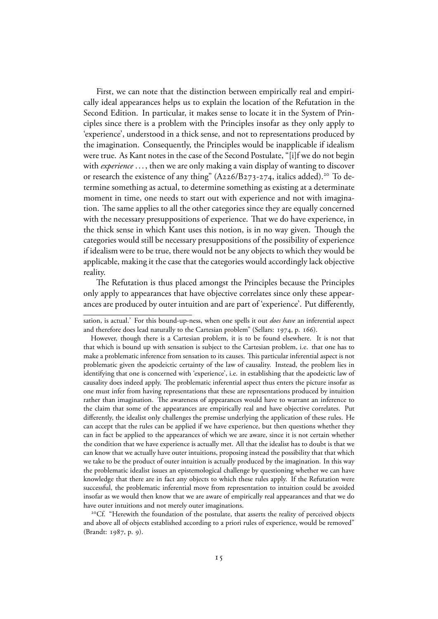First, we can note that the distinction between empirically real and empirically ideal appearances helps us to explain the location of the Refutation in the Second Edition. In particular, it makes sense to locate it in the System of Principles since there is a problem with the Principles insofar as they only apply to 'experience', understood in a thick sense, and not to representations produced by the imagination. Consequently, the Principles would be inapplicable if idealism were true. As Kant notes in the case of the Second Postulate, "[i]f we do not begin with *experience* . . . , then we are only making a vain display of wanting to discover or research the existence of any thing"  $(A226/B273-274,$  italics added).<sup>20</sup> To determine something as actual, to determine something as existing at a determinate moment in time, one needs to start out with experience and not with imagination. The same applies to all the other categories since they are equally concerned with the necessary presuppositions of experience. That we do have experience, in the thick sense in which Kant uses this notion, is in no way given. Though the categories would still be necessary presuppositions of the possibility of experience if idealism were to be true, there would not be any objects to which they would be applicable, making it the case that the categories would accordingly lack objective reality.

The Refutation is thus placed amongst the Principles because the Principles only apply to appearances that have objective correlates since only these appearances are produced by outer intuition and are part of 'experience'. Put differently,

<sup>20</sup>Cf. "Herewith the foundation of the postulate, that asserts the reality of perceived objects and above all of objects established according to a priori rules of experience, would be removed" (Brandt: 1987, p. 9).

sation, is actual.' For this bound-up-ness, when one spells it out *does have* an inferential aspect and therefore does lead naturally to the Cartesian problem" (Sellars:  $1974$ , p.  $166$ ).

However, though there is a Cartesian problem, it is to be found elsewhere. It is not that that which is bound up with sensation is subject to the Cartesian problem, i.e. that one has to make a problematic inference from sensation to its causes. This particular inferential aspect is not problematic given the apodeictic certainty of the law of causality. Instead, the problem lies in identifying that one is concerned with 'experience', i.e. in establishing that the apodeictic law of causality does indeed apply. The problematic inferential aspect thus enters the picture insofar as one must infer from having representations that these are representations produced by intuition rather than imagination. The awareness of appearances would have to warrant an inference to the claim that some of the appearances are empirically real and have objective correlates. Put differently, the idealist only challenges the premise underlying the application of these rules. He can accept that the rules can be applied if we have experience, but then questions whether they can in fact be applied to the appearances of which we are aware, since it is not certain whether the condition that we have experience is actually met. All that the idealist has to doubt is that we can know that we actually have outer intuitions, proposing instead the possibility that that which we take to be the product of outer intuition is actually produced by the imagination. In this way the problematic idealist issues an epistemological challenge by questioning whether we can have knowledge that there are in fact any objects to which these rules apply. If the Refutation were successful, the problematic inferential move from representation to intuition could be avoided insofar as we would then know that we are aware of empirically real appearances and that we do have outer intuitions and not merely outer imaginations.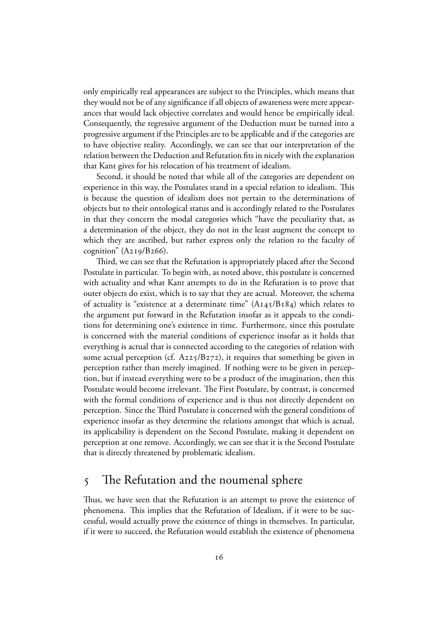only empirically real appearances are subject to the Principles, which means that they would not be of any significance if all objects of awareness were mere appearances that would lack objective correlates and would hence be empirically ideal. Consequently, the regressive argument of the Deduction must be turned into a progressive argument if the Principles are to be applicable and if the categories are to have objective reality. Accordingly, we can see that our interpretation of the relation between the Deduction and Refutation fits in nicely with the explanation that Kant gives for his relocation of his treatment of idealism.

Second, it should be noted that while all of the categories are dependent on experience in this way, the Postulates stand in a special relation to idealism. This is because the question of idealism does not pertain to the determinations of objects but to their ontological status and is accordingly related to the Postulates in that they concern the modal categories which "have the peculiarity that, as a determination of the object, they do not in the least augment the concept to which they are ascribed, but rather express only the relation to the faculty of cognition"  $(A219/B266)$ .

Third, we can see that the Refutation is appropriately placed after the Second Postulate in particular. To begin with, as noted above, this postulate is concerned with actuality and what Kant attempts to do in the Refutation is to prove that outer objects do exist, which is to say that they are actual. Moreover, the schema of actuality is "existence at a determinate time"  $(A_{145}/B_{184})$  which relates to the argument put forward in the Refutation insofar as it appeals to the conditions for determining one's existence in time. Furthermore, since this postulate is concerned with the material conditions of experience insofar as it holds that everything is actual that is connected according to the categories of relation with some actual perception (cf.  $A225/B272$ ), it requires that something be given in perception rather than merely imagined. If nothing were to be given in perception, but if instead everything were to be a product of the imagination, then this Postulate would become irrelevant. The First Postulate, by contrast, is concerned with the formal conditions of experience and is thus not directly dependent on perception. Since the Third Postulate is concerned with the general conditions of experience insofar as they determine the relations amongst that which is actual, its applicability is dependent on the Second Postulate, making it dependent on perception at one remove. Accordingly, we can see that it is the Second Postulate that is directly threatened by problematic idealism.

## 5 The Refutation and the noumenal sphere

Thus, we have seen that the Refutation is an attempt to prove the existence of phenomena. This implies that the Refutation of Idealism, if it were to be successful, would actually prove the existence of things in themselves. In particular, if it were to succeed, the Refutation would establish the existence of phenomena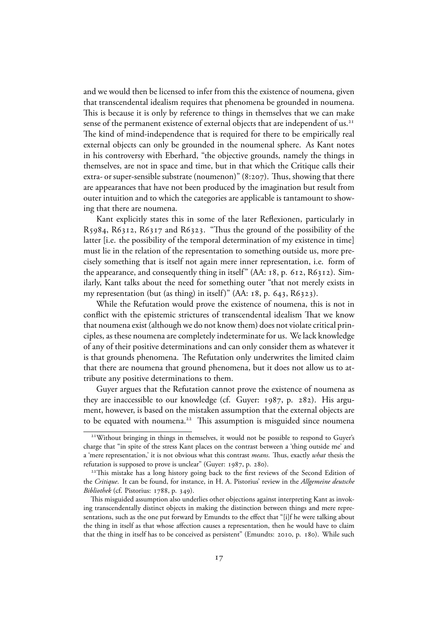and we would then be licensed to infer from this the existence of noumena, given that transcendental idealism requires that phenomena be grounded in noumena. This is because it is only by reference to things in themselves that we can make sense of the permanent existence of external objects that are independent of us.<sup>21</sup> The kind of mind-independence that is required for there to be empirically real external objects can only be grounded in the noumenal sphere. As Kant notes in his controversy with Eberhard, "the objective grounds, namely the things in themselves, are not in space and time, but in that which the Critique calls their extra- or super-sensible substrate (noumenon)"  $(8:207)$ . Thus, showing that there are appearances that have not been produced by the imagination but result from outer intuition and to which the categories are applicable is tantamount to showing that there are noumena.

Kant explicitly states this in some of the later Reflexionen, particularly in R5984, R6312, R6317 and R6323. "Thus the ground of the possibility of the latter [i.e. the possibility of the temporal determination of my existence in time] must lie in the relation of the representation to something outside us, more precisely something that is itself not again mere inner representation, i.e. form of the appearance, and consequently thing in itself" (AA: 18, p. 612, R6312). Similarly, Kant talks about the need for something outer "that not merely exists in my representation (but (as thing) in itself)" (AA:  $18$ , p. 643, R6323).

While the Refutation would prove the existence of noumena, this is not in conflict with the epistemic strictures of transcendental idealism That we know that noumena exist (although we do not know them) does not violate critical principles, as these noumena are completely indeterminate for us. We lack knowledge of any of their positive determinations and can only consider them as whatever it is that grounds phenomena. The Refutation only underwrites the limited claim that there are noumena that ground phenomena, but it does not allow us to attribute any positive determinations to them.

Guyer argues that the Refutation cannot prove the existence of noumena as they are inaccessible to our knowledge (cf. Guyer:  $1987$ , p. 282). His argument, however, is based on the mistaken assumption that the external objects are to be equated with noumena.<sup>22</sup> This assumption is misguided since noumena

<sup>&</sup>lt;sup>21</sup>Without bringing in things in themselves, it would not be possible to respond to Guyer's charge that "in spite of the stress Kant places on the contrast between a 'thing outside me' and a 'mere representation,' it is not obvious what this contrast *means*. Thus, exactly *what* thesis the refutation is supposed to prove is unclear" (Guyer:  $1987$ , p. 280).

 $22$ This mistake has a long history going back to the first reviews of the Second Edition of the *Critique*. It can be found, for instance, in H. A. Pistorius' review in the *Allgemeine deutsche Bibliothek* (cf. Pistorius: 1788, p. 349).

This misguided assumption also underlies other objections against interpreting Kant as invoking transcendentally distinct objects in making the distinction between things and mere representations, such as the one put forward by Emundts to the effect that "[i]f he were talking about the thing in itself as that whose affection causes a representation, then he would have to claim that the thing in itself has to be conceived as persistent" (Emundts: 2010, p. 180). While such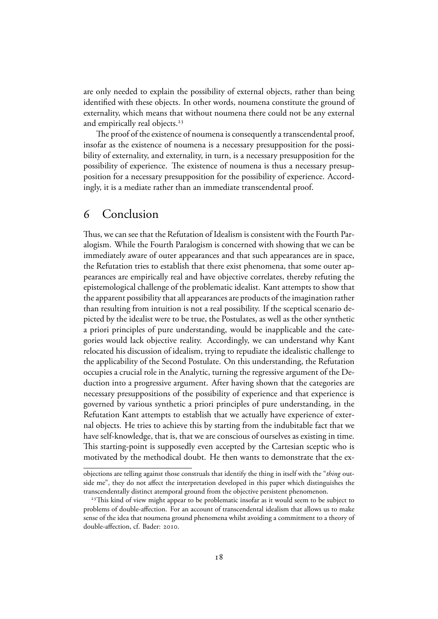are only needed to explain the possibility of external objects, rather than being identified with these objects. In other words, noumena constitute the ground of externality, which means that without noumena there could not be any external and empirically real objects.<sup>23</sup>

The proof of the existence of noumena is consequently a transcendental proof, insofar as the existence of noumena is a necessary presupposition for the possibility of externality, and externality, in turn, is a necessary presupposition for the possibility of experience. The existence of noumena is thus a necessary presupposition for a necessary presupposition for the possibility of experience. Accordingly, it is a mediate rather than an immediate transcendental proof.

#### Conclusion

Thus, we can see that the Refutation of Idealism is consistent with the Fourth Paralogism. While the Fourth Paralogism is concerned with showing that we can be immediately aware of outer appearances and that such appearances are in space, the Refutation tries to establish that there exist phenomena, that some outer appearances are empirically real and have objective correlates, thereby refuting the epistemological challenge of the problematic idealist. Kant attempts to show that the apparent possibility that all appearances are products of the imagination rather than resulting from intuition is not a real possibility. If the sceptical scenario depicted by the idealist were to be true, the Postulates, as well as the other synthetic a priori principles of pure understanding, would be inapplicable and the categories would lack objective reality. Accordingly, we can understand why Kant relocated his discussion of idealism, trying to repudiate the idealistic challenge to the applicability of the Second Postulate. On this understanding, the Refutation occupies a crucial role in the Analytic, turning the regressive argument of the Deduction into a progressive argument. After having shown that the categories are necessary presuppositions of the possibility of experience and that experience is governed by various synthetic a priori principles of pure understanding, in the Refutation Kant attempts to establish that we actually have experience of external objects. He tries to achieve this by starting from the indubitable fact that we have self-knowledge, that is, that we are conscious of ourselves as existing in time. This starting-point is supposedly even accepted by the Cartesian sceptic who is motivated by the methodical doubt. He then wants to demonstrate that the ex-

objections are telling against those construals that identify the thing in itself with the "*thing* outside me", they do not affect the interpretation developed in this paper which distinguishes the transcendentally distinct atemporal ground from the objective persistent phenomenon.

<sup>&</sup>lt;sup>23</sup>This kind of view might appear to be problematic insofar as it would seem to be subject to problems of double-affection. For an account of transcendental idealism that allows us to make sense of the idea that noumena ground phenomena whilst avoiding a commitment to a theory of double-affection, cf. Bader: 2010.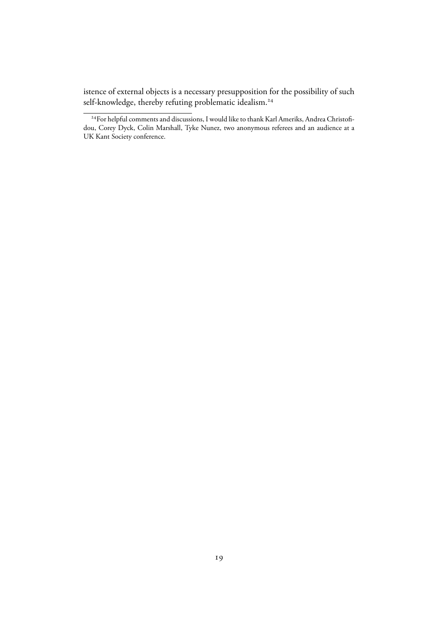istence of external objects is a necessary presupposition for the possibility of such self-knowledge, thereby refuting problematic idealism.<sup>24</sup>

<sup>&</sup>lt;sup>24</sup> For helpful comments and discussions, I would like to thank Karl Ameriks, Andrea Christofidou, Corey Dyck, Colin Marshall, Tyke Nunez, two anonymous referees and an audience at a UK Kant Society conference.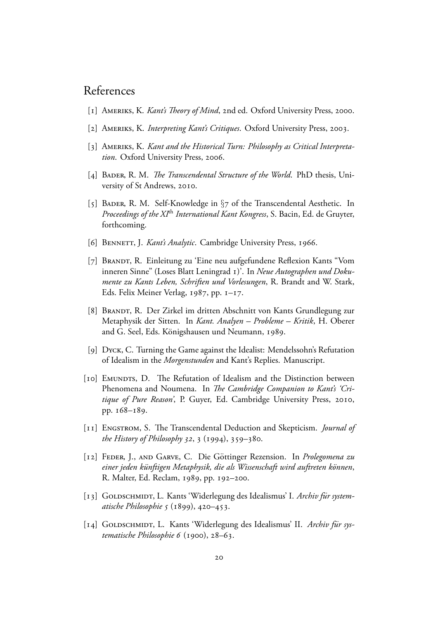## References

- [1] AMERIKS, K. *Kant's Theory of Mind*, 2nd ed. Oxford University Press, 2000.
- [2] AMERIKS, K. *Interpreting Kant's Critiques*. Oxford University Press, 2003.
- [3] AMERIKS, K. *Kant and the Historical Turn: Philosophy as Critical Interpreta*tion. Oxford University Press, 2006.
- [4] BADER, R. M. *The Transcendental Structure of the World*. PhD thesis, University of St Andrews, 2010.
- [5] BADER, R. M. Self-Knowledge in  $\S$ 7 of the Transcendental Aesthetic. In *Proceedings of the XI*th *International Kant Kongress*, S. Bacin, Ed. de Gruyter, forthcoming.
- [6] BENNETT, J. *Kant's Analytic*. Cambridge University Press, 1966.
- [7] BRANDT, R. Einleitung zu 'Eine neu aufgefundene Reflexion Kants "Vom inneren Sinne" (Loses Blatt Leningrad 1)'. In *Neue Autographen und Dokumente zu Kants Leben, Schriften und Vorlesungen*, R. Brandt and W. Stark, Eds. Felix Meiner Verlag,  $1987$ , pp.  $1 - 17$ .
- [8] BRANDT, R. Der Zirkel im dritten Abschnitt von Kants Grundlegung zur Metaphysik der Sitten. In *Kant. Analyen – Probleme – Kritik*, H. Oberer and G. Seel, Eds. Königshausen und Neumann, 1989.
- [9] DYCK, C. Turning the Game against the Idealist: Mendelssohn's Refutation of Idealism in the *Morgenstunden* and Kant's Replies. Manuscript.
- [10] EMUNDTS, D. The Refutation of Idealism and the Distinction between Phenomena and Noumena. In *The Cambridge Companion to Kant's 'Critique of Pure Reason*', P. Guyer, Ed. Cambridge University Press, 2010, pp.  $168 - 189$ .
- [11] ENGSTROM, S. The Transcendental Deduction and Skepticism. *Journal of the History of Philosophy 32, 3 (1994), 359-380.*
- [12] FEDER, J., AND GARVE, C. Die Göttinger Rezension. In *Prolegomena zu* einer jeden künftigen Metaphysik, die als Wissenschaft wird auftreten können, R. Malter, Ed. Reclam, 1989, pp. 192-200.
- [13] GOLDSCHMIDT, L. Kants 'Widerlegung des Idealismus' I. *Archiv für systematische Philosophie 5* (1899), 420–453.
- [14] GOLDSCHMIDT, L. Kants 'Widerlegung des Idealismus' II. *Archiv für systematische Philosophie 6* (1900), 28–63.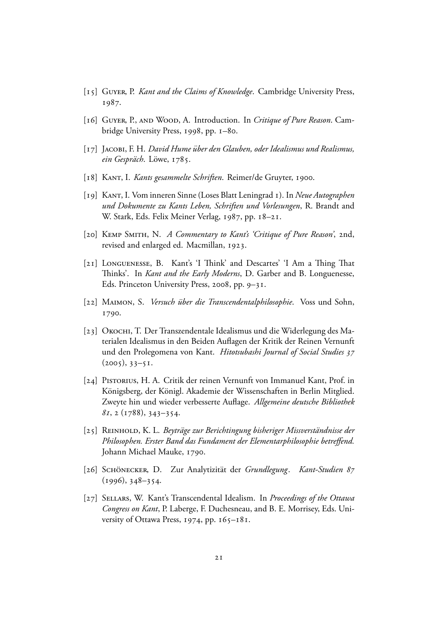- [15] GUYER, P. *Kant and the Claims of Knowledge*. Cambridge University Press, 1987.
- [16] GUYER, P., AND WOOD, A. Introduction. In *Critique of Pure Reason*. Cambridge University Press, 1998, pp. 1-80.
- [] J, F. H. *David Hume uber den Glauben, oder Idealismus und Realismus,* ¨ *ein Gespräch*. Löwe, 1785.
- [18] KANT, I. *Kants gesammelte Schriften*. Reimer/de Gruyter, 1900.
- [] K, I. Vom inneren Sinne (Loses Blatt Leningrad ). In *Neue Autographen und Dokumente zu Kants Leben, Schriften und Vorlesungen*, R. Brandt and W. Stark, Eds. Felix Meiner Verlag, 1987, pp. 18–21.
- [20] KEMP SMITH, N. *A Commentary to Kant's 'Critique of Pure Reason'*, 2nd, revised and enlarged ed. Macmillan, 1923.
- [21] LONGUENESSE, B. Kant's 'I Think' and Descartes' 'I Am a Thing That Thinks'. In *Kant and the Early Moderns*, D. Garber and B. Longuenesse, Eds. Princeton University Press, 2008, pp. 9-31.
- [22] MAIMON, S. *Versuch über die Transcendentalphilosophie*. Voss und Sohn, 1790.
- [23] OKOCHI, T. Der Transzendentale Idealismus und die Widerlegung des Materialen Idealismus in den Beiden Auflagen der Kritik der Reinen Vernunft und den Prolegomena von Kant. *Hitotsubashi Journal of Social Studies*   $(2005), 33 - 51.$
- [24] PISTORIUS, H. A. Critik der reinen Vernunft von Immanuel Kant, Prof. in Königsberg, der Königl. Akademie der Wissenschaften in Berlin Mitglied. Zweyte hin und wieder verbesserte Auflage. *Allgemeine deutsche Bibliothek*  $8I, 2$  (1788), 343–354.
- [25] REINHOLD, K. L. *Beyträge zur Berichtingung bisheriger Missverständnisse der Philosophen. Erster Band das Fundament der Elementarphilosophie betreffend.* Johann Michael Mauke, 1790.
- [26] SCHÖNECKER, D. Zur Analytizität der Grundlegung. Kant-Studien 87  $(1996), 348 - 354.$
- [27] SELLARS, W. Kant's Transcendental Idealism. In *Proceedings of the Ottawa Congress on Kant*, P. Laberge, F. Duchesneau, and B. E. Morrisey, Eds. University of Ottawa Press,  $1974$ , pp.  $165 - 181$ .